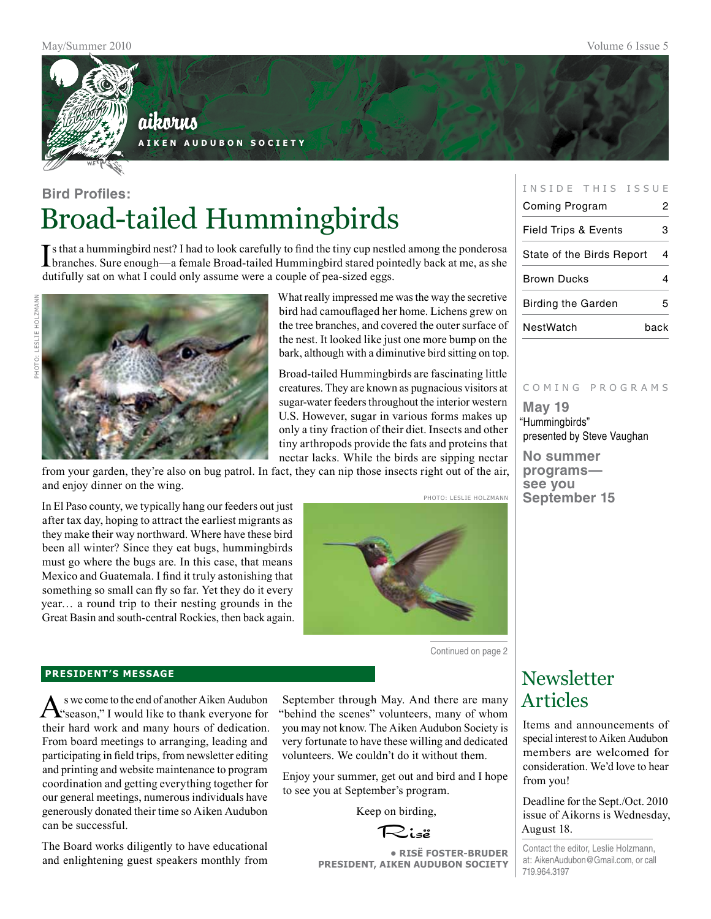

## aikorus

**A i k e n A u d u b o n S o c i e t y**

## **Bird Profiles:** Broad-tailed Hummingbirds

If sthat a hummingbird nest? I had to look carefully to find the tiny cup nestled among the ponderosa<br>branches. Sure enough—a female Broad-tailed Hummingbird stared pointedly back at me, as she branches. Sure enough—a female Broad-tailed Hummingbird stared pointedly back at me, as she dutifully sat on what I could only assume were a couple of pea-sized eggs.



What really impressed me was the way the secretive bird had camouflaged her home. Lichens grew on the tree branches, and covered the outer surface of the nest. It looked like just one more bump on the bark, although with a diminutive bird sitting on top.

Broad-tailed Hummingbirds are fascinating little creatures. They are known as pugnacious visitors at sugar-water feeders throughout the interior western U.S. However, sugar in various forms makes up only a tiny fraction of their diet. Insects and other tiny arthropods provide the fats and proteins that nectar lacks. While the birds are sipping nectar

from your garden, they're also on bug patrol. In fact, they can nip those insects right out of the air, and enjoy dinner on the wing.

In El Paso county, we typically hang our feeders out just after tax day, hoping to attract the earliest migrants as they make their way northward. Where have these bird been all winter? Since they eat bugs, hummingbirds must go where the bugs are. In this case, that means Mexico and Guatemala. I find it truly astonishing that something so small can fly so far. Yet they do it every year… a round trip to their nesting grounds in the Great Basin and south-central Rockies, then back again.



Continued on page 2

#### **president's message**

As we come to the end of another Aiken Audubon<br>
"season," I would like to thank everyone for their hard work and many hours of dedication. From board meetings to arranging, leading and participating in field trips, from newsletter editing and printing and website maintenance to program coordination and getting everything together for our general meetings, numerous individuals have generously donated their time so Aiken Audubon can be successful.

The Board works diligently to have educational and enlightening guest speakers monthly from

September through May. And there are many "behind the scenes" volunteers, many of whom you may not know. The Aiken Audubon Society is very fortunate to have these willing and dedicated volunteers. We couldn't do it without them.

Enjoy your summer, get out and bird and I hope to see you at September's program.

Keep on birding,

Risë

**• RisË Foster-Bruder President, Aiken Audubon Society**

#### INSIDE THIS ISSUE

| <b>Coming Program</b>           | 2    |
|---------------------------------|------|
| <b>Field Trips &amp; Events</b> | 3    |
| State of the Birds Report       | 4    |
| <b>Brown Ducks</b>              | 4    |
| <b>Birding the Garden</b>       | 5    |
| NestWatch                       | back |

#### c o m i n g p r o g r a m s

**May 19** "Hummingbirds" presented by Steve Vaughan

**No summer programs see you September 15**

## **Newsletter** Articles

Items and announcements of special interest to Aiken Audubon members are welcomed for consideration. We'd love to hear from you!

Deadline for the Sept./Oct. 2010 issue of Aikorns is Wednesday, August 18.

Contact the editor, Leslie Holzmann, at: AikenAudubon@Gmail.com, or call 719.964.3197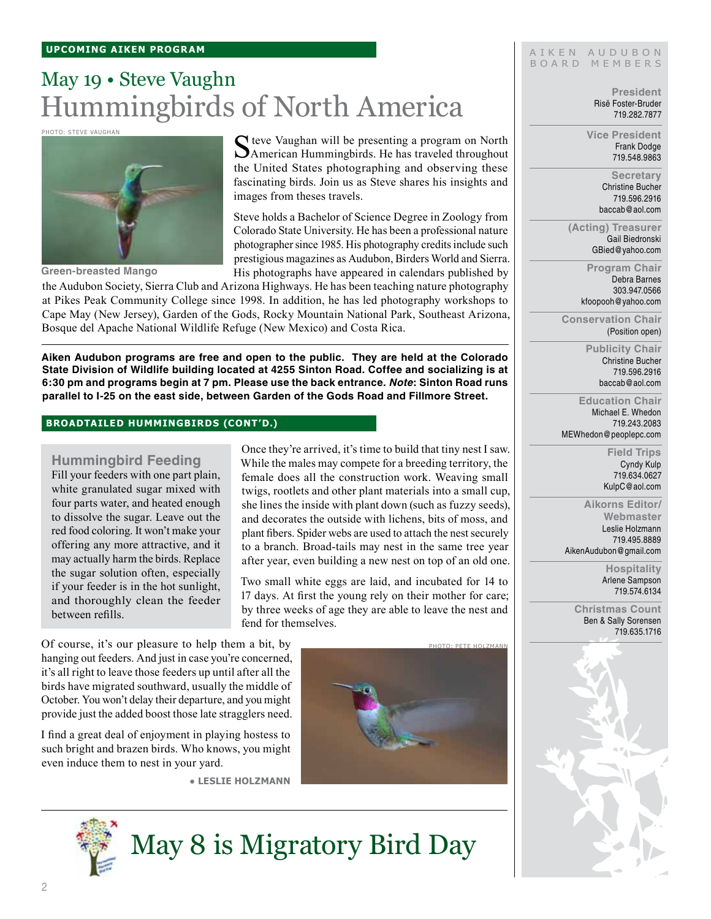## May 19 • Steve Vaughn Hummingbirds of North America

Photo: steve vaughan



**Green-breasted Mango**

Steve Vaughan will be presenting a program on North American Hummingbirds. He has traveled throughout the United States photographing and observing these fascinating birds. Join us as Steve shares his insights and images from theses travels.

Steve holds a Bachelor of Science Degree in Zoology from Colorado State University. He has been a professional nature photographer since 1985. His photography credits include such prestigious magazines as Audubon, Birders World and Sierra. His photographs have appeared in calendars published by

the Audubon Society, Sierra Club and Arizona Highways. He has been teaching nature photography at Pikes Peak Community College since 1998. In addition, he has led photography workshops to Cape May (New Jersey), Garden of the Gods, Rocky Mountain National Park, Southeast Arizona, Bosque del Apache National Wildlife Refuge (New Mexico) and Costa Rica.

**Aiken Audubon programs are free and open to the public. They are held at the Colorado State Division of Wildlife building located at 4255 Sinton Road. Coffee and socializing is at 6:30 pm and programs begin at 7 pm. Please use the back entrance.** *Note***: Sinton Road runs parallel to I-25 on the east side, between Garden of the Gods Road and Fillmore Street.**

#### **broadtailed hummingbirds (cont'd.)**

### **Hummingbird Feeding**

Fill your feeders with one part plain, white granulated sugar mixed with four parts water, and heated enough to dissolve the sugar. Leave out the red food coloring. It won't make your offering any more attractive, and it may actually harm the birds. Replace the sugar solution often, especially if your feeder is in the hot sunlight, and thoroughly clean the feeder between refills.

Once they're arrived, it's time to build that tiny nest I saw. While the males may compete for a breeding territory, the female does all the construction work. Weaving small twigs, rootlets and other plant materials into a small cup, she lines the inside with plant down (such as fuzzy seeds), and decorates the outside with lichens, bits of moss, and plant fibers. Spider webs are used to attach the nest securely to a branch. Broad-tails may nest in the same tree year after year, even building a new nest on top of an old one.

Two small white eggs are laid, and incubated for 14 to 17 days. At first the young rely on their mother for care; by three weeks of age they are able to leave the nest and fend for themselves.

Of course, it's our pleasure to help them a bit, by hanging out feeders. And just in case you're concerned, it's all right to leave those feeders up until after all the birds have migrated southward, usually the middle of October. You won't delay their departure, and you might provide just the added boost those late stragglers need.

I find a great deal of enjoyment in playing hostess to such bright and brazen birds. Who knows, you might even induce them to nest in your yard.

**● Leslie Holzmann**



#### AIKEN AUDUBON B O A R D M E M B E R S

**President** Risë Foster-Bruder 719.282.7877

**Vice President** Frank Dodge 719.548.9863

> **Secretary** Christine Bucher 719.596.2916 baccab@aol.com

**(Acting) Treasurer** Gail Biedronski GBied@yahoo.com

> **Program Chair** Debra Barnes 303.947.0566 kfoopooh@yahoo.com

**Conservation Chair** (Position open)

> **Publicity Chair** Christine Bucher 719.596.2916 baccab@aol.com

**Education Chair** Michael E. Whedon 719.243.2083 MEWhedon@peoplepc.com

> **Field Trips** Cyndy Kulp 719.634.0627 KulpC@aol.com

**Aikorns Editor/ Webmaster** Leslie Holzmann 719.495.8889 AikenAudubon@gmail.com

> **Hospitality** Arlene Sampson 719.574.6134

**Christmas Count** Ben & Sally Sorensen 719.635.1716





May 8 is Migratory Bird Day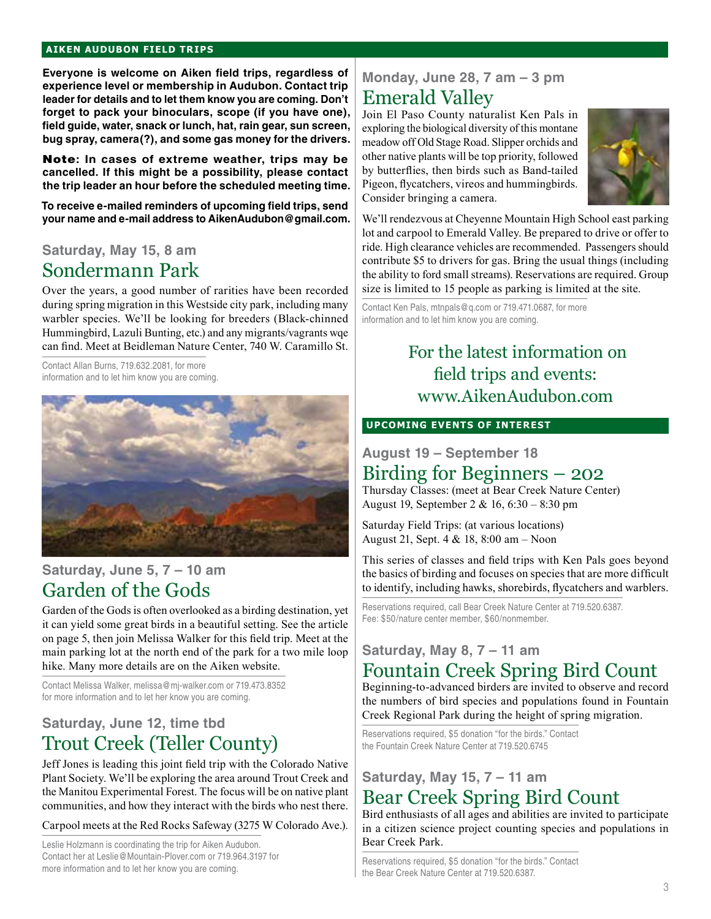### **aiken audubon FIELD TRIPS**

**Everyone is welcome on Aiken field trips, regardless of experience level or membership in Audubon. Contact trip leader for details and to let them know you are coming. Don't forget to pack your binoculars, scope (if you have one), field guide, water, snack or lunch, hat, rain gear, sun screen, bug spray, camera(?), and some gas money for the drivers.** 

Note**: In cases of extreme weather, trips may be cancelled. If this might be a possibility, please contact the trip leader an hour before the scheduled meeting time.**

**To receive e-mailed reminders of upcoming field trips, send your name and e-mail address to AikenAudubon@gmail.com.**

## **Saturday, May 15, 8 am**

## Sondermann Park

Over the years, a good number of rarities have been recorded during spring migration in this Westside city park, including many warbler species. We'll be looking for breeders (Black-chinned Hummingbird, Lazuli Bunting, etc.) and any migrants/vagrants wqe can find. Meet at Beidleman Nature Center, 740 W. Caramillo St.

Contact Allan Burns, 719.632.2081, for more information and to let him know you are coming.



## **Saturday, June 5, 7 – 10 am** Garden of the Gods

Garden of the Gods is often overlooked as a birding destination, yet it can yield some great birds in a beautiful setting. See the article on page 5, then join Melissa Walker for this field trip. Meet at the main parking lot at the north end of the park for a two mile loop hike. Many more details are on the Aiken website.

Contact Melissa Walker, melissa@mj-walker.com or 719.473.8352 for more information and to let her know you are coming.

## **Saturday, June 12, time tbd** Trout Creek (Teller County)

Jeff Jones is leading this joint field trip with the Colorado Native Plant Society. We'll be exploring the area around Trout Creek and the Manitou Experimental Forest. The focus will be on native plant communities, and how they interact with the birds who nest there.

Carpool meets at the Red Rocks Safeway (3275 W Colorado Ave.).

Leslie Holzmann is coordinating the trip for Aiken Audubon. Contact her at Leslie@Mountain-Plover.com or 719.964.3197 for more information and to let her know you are coming.

## **Monday, June 28, 7 am – 3 pm** Emerald Valley

Join El Paso County naturalist Ken Pals in exploring the biological diversity of this montane meadow off Old Stage Road. Slipper orchids and other native plants will be top priority, followed by butterflies, then birds such as Band-tailed Pigeon, flycatchers, vireos and hummingbirds. Consider bringing a camera.



We'll rendezvous at Cheyenne Mountain High School east parking lot and carpool to Emerald Valley. Be prepared to drive or offer to ride. High clearance vehicles are recommended. Passengers should contribute \$5 to drivers for gas. Bring the usual things (including the ability to ford small streams). Reservations are required. Group size is limited to 15 people as parking is limited at the site.

Contact Ken Pals, mtnpals@q.com or 719.471.0687, for more information and to let him know you are coming.

## For the latest information on field trips and events: www.AikenAudubon.com

### **UPCOMING EVENTS OF INTEREST**

**August 19 – September 18**

## Birding for Beginners – 202

Thursday Classes: (meet at Bear Creek Nature Center) August 19, September 2 & 16, 6:30 – 8:30 pm

Saturday Field Trips: (at various locations) August 21, Sept. 4 & 18, 8:00 am – Noon

This series of classes and field trips with Ken Pals goes beyond the basics of birding and focuses on species that are more difficult to identify, including hawks, shorebirds, flycatchers and warblers.

Reservations required, call Bear Creek Nature Center at 719.520.6387. Fee: \$50/nature center member, \$60/nonmember.

## **Saturday, May 8, 7 – 11 am** Fountain Creek Spring Bird Count

Beginning-to-advanced birders are invited to observe and record the numbers of bird species and populations found in Fountain Creek Regional Park during the height of spring migration.

Reservations required, \$5 donation "for the birds." Contact the Fountain Creek Nature Center at 719.520.6745

## **Saturday, May 15, 7 – 11 am** Bear Creek Spring Bird Count

Bird enthusiasts of all ages and abilities are invited to participate in a citizen science project counting species and populations in Bear Creek Park.

Reservations required, \$5 donation "for the birds." Contact the Bear Creek Nature Center at 719.520.6387.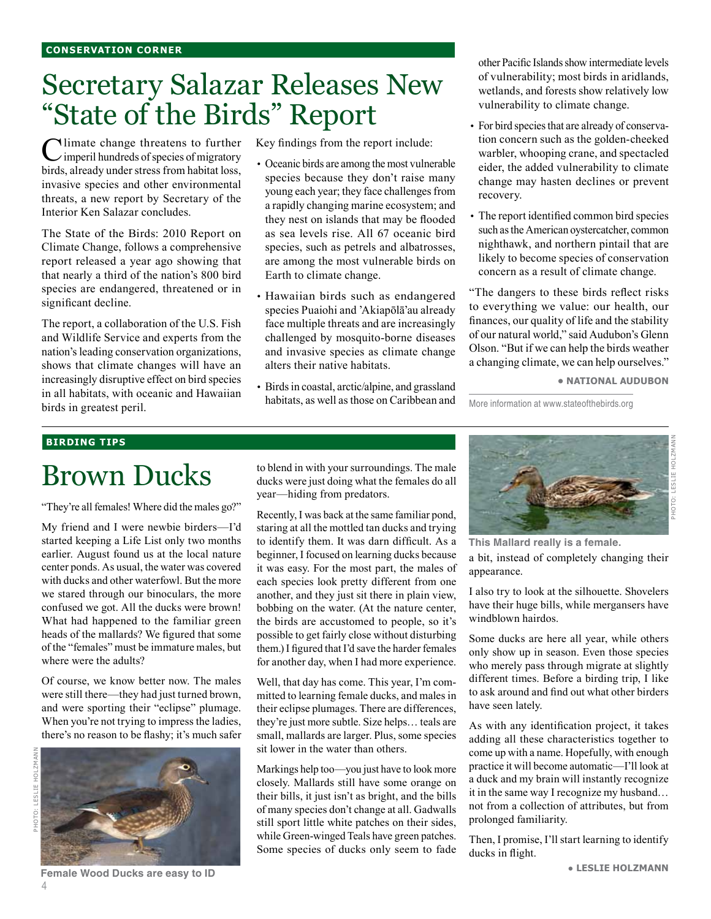# Secretary Salazar Releases New "State of the Birds" Report

Climate change threatens to further  $\angle$  imperil hundreds of species of migratory birds, already under stress from habitat loss, invasive species and other environmental threats, a new report by Secretary of the Interior Ken Salazar concludes.

The State of the Birds: 2010 Report on Climate Change, follows a comprehensive report released a year ago showing that that nearly a third of the nation's 800 bird species are endangered, threatened or in significant decline.

The report, a collaboration of the U.S. Fish and Wildlife Service and experts from the nation's leading conservation organizations, shows that climate changes will have an increasingly disruptive effect on bird species in all habitats, with oceanic and Hawaiian birds in greatest peril.

Key findings from the report include:

- Oceanic birds are among the most vulnerable species because they don't raise many young each year; they face challenges from a rapidly changing marine ecosystem; and they nest on islands that may be flooded as sea levels rise. All 67 oceanic bird species, such as petrels and albatrosses, are among the most vulnerable birds on Earth to climate change.
- Hawaiian birds such as endangered species Puaiohi and 'Akiapōlā'au already face multiple threats and are increasingly challenged by mosquito-borne diseases and invasive species as climate change alters their native habitats.
- Birds in coastal, arctic/alpine, and grassland habitats, as well as those on Caribbean and

other Pacific Islands show intermediate levels of vulnerability; most birds in aridlands, wetlands, and forests show relatively low vulnerability to climate change.

- For bird species that are already of conservation concern such as the golden-cheeked warbler, whooping crane, and spectacled eider, the added vulnerability to climate change may hasten declines or prevent recovery.
- The report identified common bird species such as the American oystercatcher, common nighthawk, and northern pintail that are likely to become species of conservation concern as a result of climate change.

"The dangers to these birds reflect risks to everything we value: our health, our finances, our quality of life and the stability of our natural world," said Audubon's Glenn Olson. "But if we can help the birds weather a changing climate, we can help ourselves."

**• National Audubon**

More information at www.stateofthebirds.org

#### **birding tips**

# Brown Ducks

"They're all females! Where did the males go?"

My friend and I were newbie birders—I'd started keeping a Life List only two months earlier. August found us at the local nature center ponds. As usual, the water was covered with ducks and other waterfowl. But the more we stared through our binoculars, the more confused we got. All the ducks were brown! What had happened to the familiar green heads of the mallards? We figured that some of the "females" must be immature males, but where were the adults?

Of course, we know better now. The males were still there—they had just turned brown, and were sporting their "eclipse" plumage. When you're not trying to impress the ladies, there's no reason to be flashy; it's much safer



**Female Wood Ducks are easy to ID**

to blend in with your surroundings. The male ducks were just doing what the females do all year—hiding from predators.

Recently, I was back at the same familiar pond, staring at all the mottled tan ducks and trying to identify them. It was darn difficult. As a beginner, I focused on learning ducks because it was easy. For the most part, the males of each species look pretty different from one another, and they just sit there in plain view, bobbing on the water. (At the nature center, the birds are accustomed to people, so it's possible to get fairly close without disturbing them.) I figured that I'd save the harder females for another day, when I had more experience.

Well, that day has come. This year, I'm committed to learning female ducks, and males in their eclipse plumages. There are differences, they're just more subtle. Size helps… teals are small, mallards are larger. Plus, some species sit lower in the water than others.

Markings help too—you just have to look more closely. Mallards still have some orange on their bills, it just isn't as bright, and the bills of many species don't change at all. Gadwalls still sport little white patches on their sides, while Green-winged Teals have green patches. Some species of ducks only seem to fade



a bit, instead of completely changing their appearance. **This Mallard really is a female.**

I also try to look at the silhouette. Shovelers have their huge bills, while mergansers have windblown hairdos.

Some ducks are here all year, while others only show up in season. Even those species who merely pass through migrate at slightly different times. Before a birding trip, I like to ask around and find out what other birders have seen lately.

As with any identification project, it takes adding all these characteristics together to come up with a name. Hopefully, with enough practice it will become automatic—I'll look at a duck and my brain will instantly recognize it in the same way I recognize my husband… not from a collection of attributes, but from prolonged familiarity.

Then, I promise, I'll start learning to identify ducks in flight.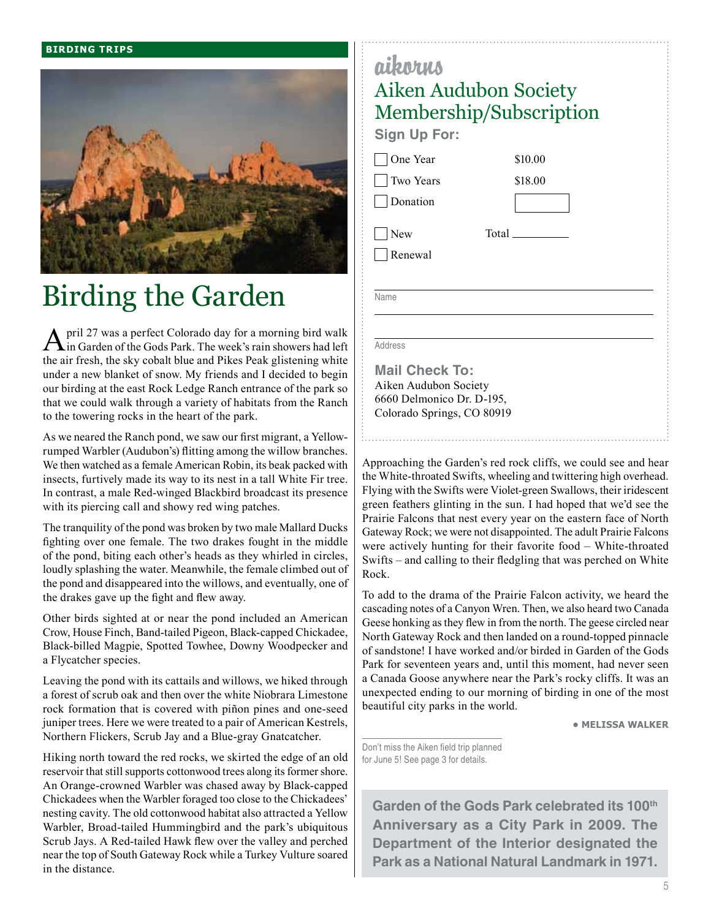#### **birding trips**



# Birding the Garden

April 27 was a perfect Colorado day for a morning bird walk in Garden of the Gods Park. The week's rain showers had left the air fresh, the sky cobalt blue and Pikes Peak glistening white under a new blanket of snow. My friends and I decided to begin our birding at the east Rock Ledge Ranch entrance of the park so that we could walk through a variety of habitats from the Ranch to the towering rocks in the heart of the park.

As we neared the Ranch pond, we saw our first migrant, a Yellowrumped Warbler (Audubon's) flitting among the willow branches. We then watched as a female American Robin, its beak packed with insects, furtively made its way to its nest in a tall White Fir tree. In contrast, a male Red-winged Blackbird broadcast its presence with its piercing call and showy red wing patches.

The tranquility of the pond was broken by two male Mallard Ducks fighting over one female. The two drakes fought in the middle of the pond, biting each other's heads as they whirled in circles, loudly splashing the water. Meanwhile, the female climbed out of the pond and disappeared into the willows, and eventually, one of the drakes gave up the fight and flew away.

Other birds sighted at or near the pond included an American Crow, House Finch, Band-tailed Pigeon, Black-capped Chickadee, Black-billed Magpie, Spotted Towhee, Downy Woodpecker and a Flycatcher species.

Leaving the pond with its cattails and willows, we hiked through a forest of scrub oak and then over the white Niobrara Limestone rock formation that is covered with piñon pines and one-seed juniper trees. Here we were treated to a pair of American Kestrels, Northern Flickers, Scrub Jay and a Blue-gray Gnatcatcher.

Hiking north toward the red rocks, we skirted the edge of an old reservoir that still supports cottonwood trees along its former shore. An Orange-crowned Warbler was chased away by Black-capped Chickadees when the Warbler foraged too close to the Chickadees' nesting cavity. The old cottonwood habitat also attracted a Yellow Warbler, Broad-tailed Hummingbird and the park's ubiquitous Scrub Jays. A Red-tailed Hawk flew over the valley and perched near the top of South Gateway Rock while a Turkey Vulture soared in the distance.

|  | \$10.00<br>\$18.00<br>Total |  |
|--|-----------------------------|--|

Aiken Audubon Society 6660 Delmonico Dr. D-195, Colorado Springs, CO 80919

aikorus

Approaching the Garden's red rock cliffs, we could see and hear the White-throated Swifts, wheeling and twittering high overhead. Flying with the Swifts were Violet-green Swallows, their iridescent green feathers glinting in the sun. I had hoped that we'd see the Prairie Falcons that nest every year on the eastern face of North Gateway Rock; we were not disappointed. The adult Prairie Falcons were actively hunting for their favorite food – White-throated Swifts – and calling to their fledgling that was perched on White Rock.

To add to the drama of the Prairie Falcon activity, we heard the cascading notes of a Canyon Wren. Then, we also heard two Canada Geese honking as they flew in from the north. The geese circled near North Gateway Rock and then landed on a round-topped pinnacle of sandstone! I have worked and/or birded in Garden of the Gods Park for seventeen years and, until this moment, had never seen a Canada Goose anywhere near the Park's rocky cliffs. It was an unexpected ending to our morning of birding in one of the most beautiful city parks in the world.

**• Melissa Walker**

Don't miss the Aiken field trip planned for June 5! See page 3 for details.

Garden of the Gods Park celebrated its 100<sup>th</sup> **Anniversary as a City Park in 2009. The Department of the Interior designated the Park as a National Natural Landmark in 1971.**